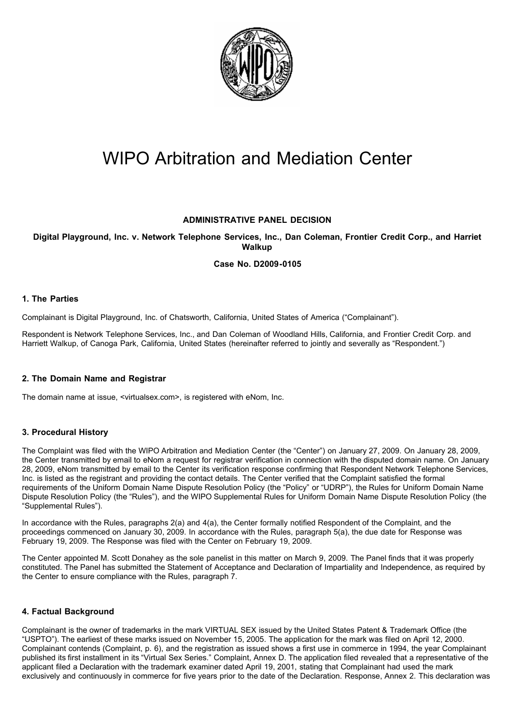

# WIPO Arbitration and Mediation Center

## **ADMINISTRATIVE PANEL DECISION**

## **Digital Playground, Inc. v. Network Telephone Services, Inc., Dan Coleman, Frontier Credit Corp., and Harriet Walkup**

## **Case No. D2009-0105**

## **1. The Parties**

Complainant is Digital Playground, Inc. of Chatsworth, California, United States of America ("Complainant").

Respondent is Network Telephone Services, Inc., and Dan Coleman of Woodland Hills, California, and Frontier Credit Corp. and Harriett Walkup, of Canoga Park, California, United States (hereinafter referred to jointly and severally as "Respondent.")

## **2. The Domain Name and Registrar**

The domain name at issue, <virtualsex.com>, is registered with eNom, Inc.

## **3. Procedural History**

The Complaint was filed with the WIPO Arbitration and Mediation Center (the "Center") on January 27, 2009. On January 28, 2009, the Center transmitted by email to eNom a request for registrar verification in connection with the disputed domain name. On January 28, 2009, eNom transmitted by email to the Center its verification response confirming that Respondent Network Telephone Services, Inc. is listed as the registrant and providing the contact details. The Center verified that the Complaint satisfied the formal requirements of the Uniform Domain Name Dispute Resolution Policy (the "Policy" or "UDRP"), the Rules for Uniform Domain Name Dispute Resolution Policy (the "Rules"), and the WIPO Supplemental Rules for Uniform Domain Name Dispute Resolution Policy (the "Supplemental Rules").

In accordance with the Rules, paragraphs 2(a) and 4(a), the Center formally notified Respondent of the Complaint, and the proceedings commenced on January 30, 2009. In accordance with the Rules, paragraph 5(a), the due date for Response was February 19, 2009. The Response was filed with the Center on February 19, 2009.

The Center appointed M. Scott Donahey as the sole panelist in this matter on March 9, 2009. The Panel finds that it was properly constituted. The Panel has submitted the Statement of Acceptance and Declaration of Impartiality and Independence, as required by the Center to ensure compliance with the Rules, paragraph 7.

## **4. Factual Background**

Complainant is the owner of trademarks in the mark VIRTUAL SEX issued by the United States Patent & Trademark Office (the "USPTO"). The earliest of these marks issued on November 15, 2005. The application for the mark was filed on April 12, 2000. Complainant contends (Complaint, p. 6), and the registration as issued shows a first use in commerce in 1994, the year Complainant published its first installment in its "Virtual Sex Series." Complaint, Annex D. The application filed revealed that a representative of the applicant filed a Declaration with the trademark examiner dated April 19, 2001, stating that Complainant had used the mark exclusively and continuously in commerce for five years prior to the date of the Declaration. Response, Annex 2. This declaration was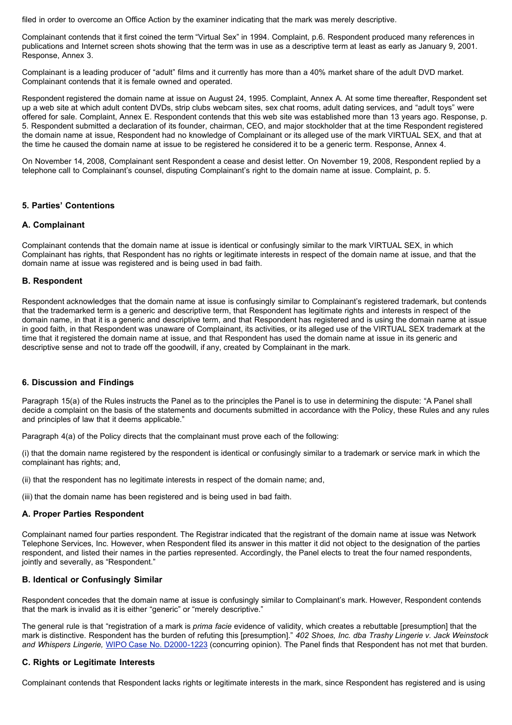filed in order to overcome an Office Action by the examiner indicating that the mark was merely descriptive.

Complainant contends that it first coined the term "Virtual Sex" in 1994. Complaint, p.6. Respondent produced many references in publications and Internet screen shots showing that the term was in use as a descriptive term at least as early as January 9, 2001. Response, Annex 3.

Complainant is a leading producer of "adult" films and it currently has more than a 40% market share of the adult DVD market. Complainant contends that it is female owned and operated.

Respondent registered the domain name at issue on August 24, 1995. Complaint, Annex A. At some time thereafter, Respondent set up a web site at which adult content DVDs, strip clubs webcam sites, sex chat rooms, adult dating services, and "adult toys" were offered for sale. Complaint, Annex E. Respondent contends that this web site was established more than 13 years ago. Response, p. 5. Respondent submitted a declaration of its founder, chairman, CEO, and major stockholder that at the time Respondent registered the domain name at issue, Respondent had no knowledge of Complainant or its alleged use of the mark VIRTUAL SEX, and that at the time he caused the domain name at issue to be registered he considered it to be a generic term. Response, Annex 4.

On November 14, 2008, Complainant sent Respondent a cease and desist letter. On November 19, 2008, Respondent replied by a telephone call to Complainant's counsel, disputing Complainant's right to the domain name at issue. Complaint, p. 5.

## **5. Parties' Contentions**

#### **A. Complainant**

Complainant contends that the domain name at issue is identical or confusingly similar to the mark VIRTUAL SEX, in which Complainant has rights, that Respondent has no rights or legitimate interests in respect of the domain name at issue, and that the domain name at issue was registered and is being used in bad faith.

#### **B. Respondent**

Respondent acknowledges that the domain name at issue is confusingly similar to Complainant's registered trademark, but contends that the trademarked term is a generic and descriptive term, that Respondent has legitimate rights and interests in respect of the domain name, in that it is a generic and descriptive term, and that Respondent has registered and is using the domain name at issue in good faith, in that Respondent was unaware of Complainant, its activities, or its alleged use of the VIRTUAL SEX trademark at the time that it registered the domain name at issue, and that Respondent has used the domain name at issue in its generic and descriptive sense and not to trade off the goodwill, if any, created by Complainant in the mark.

#### **6. Discussion and Findings**

Paragraph 15(a) of the Rules instructs the Panel as to the principles the Panel is to use in determining the dispute: "A Panel shall decide a complaint on the basis of the statements and documents submitted in accordance with the Policy, these Rules and any rules and principles of law that it deems applicable."

Paragraph 4(a) of the Policy directs that the complainant must prove each of the following:

(i) that the domain name registered by the respondent is identical or confusingly similar to a trademark or service mark in which the complainant has rights; and,

(ii) that the respondent has no legitimate interests in respect of the domain name; and,

(iii) that the domain name has been registered and is being used in bad faith.

#### **A. Proper Parties Respondent**

Complainant named four parties respondent. The Registrar indicated that the registrant of the domain name at issue was Network Telephone Services, Inc. However, when Respondent filed its answer in this matter it did not object to the designation of the parties respondent, and listed their names in the parties represented. Accordingly, the Panel elects to treat the four named respondents, jointly and severally, as "Respondent."

## **B. Identical or Confusingly Similar**

Respondent concedes that the domain name at issue is confusingly similar to Complainant's mark. However, Respondent contends that the mark is invalid as it is either "generic" or "merely descriptive."

The general rule is that "registration of a mark is *prima facie* evidence of validity, which creates a rebuttable [presumption] that the mark is distinctive. Respondent has the burden of refuting this [presumption]." *402 Shoes, Inc. dba Trashy Lingerie v. Jack Weinstock and Whispers Lingerie,* WIPO Case No. [D2000-1223](http://www.wipo.int/amc/en/domains/decisions/html/2000/d2000-1223.html) (concurring opinion). The Panel finds that Respondent has not met that burden.

#### **C. Rights or Legitimate Interests**

Complainant contends that Respondent lacks rights or legitimate interests in the mark, since Respondent has registered and is using